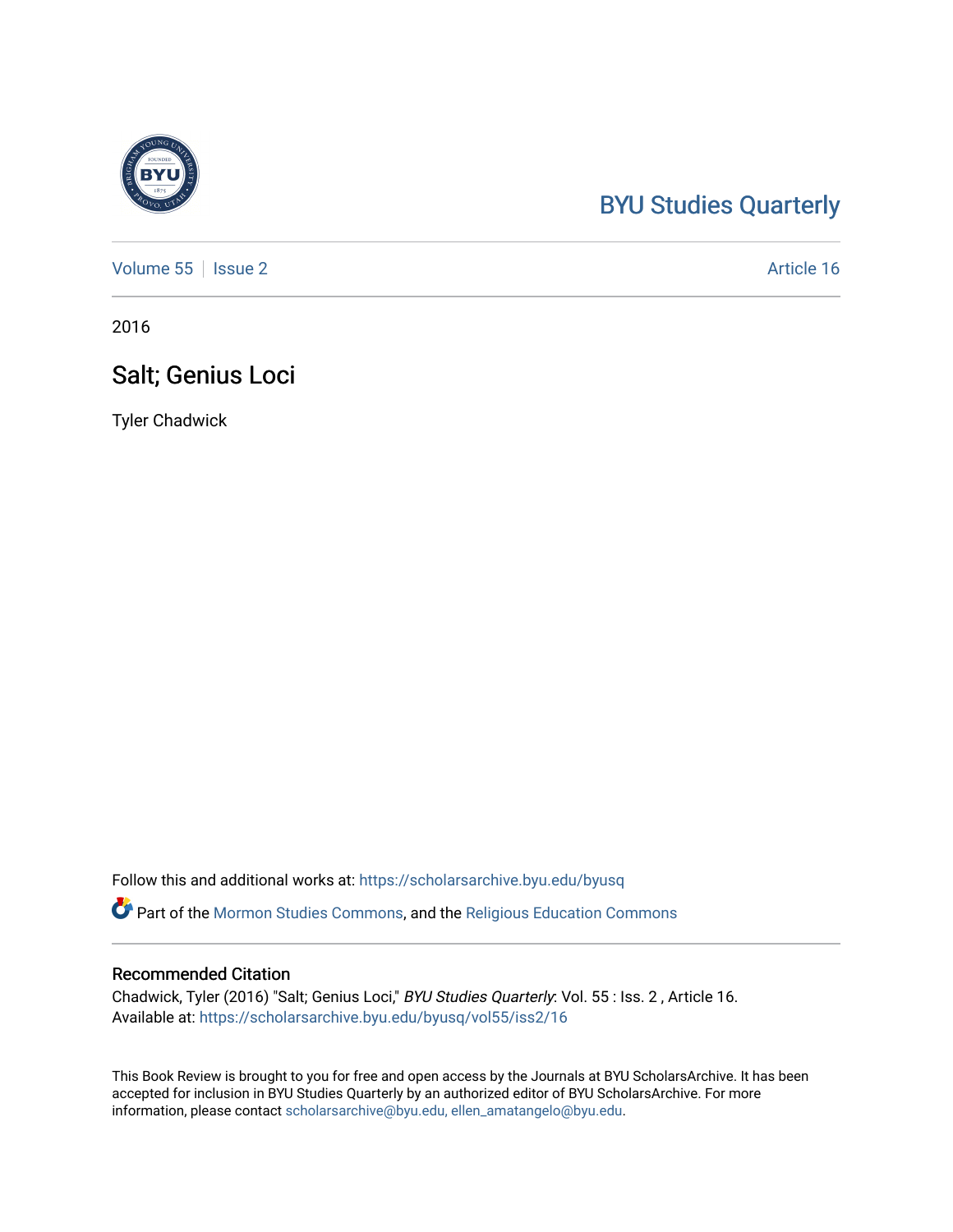## [BYU Studies Quarterly](https://scholarsarchive.byu.edu/byusq)

[Volume 55](https://scholarsarchive.byu.edu/byusq/vol55) | [Issue 2](https://scholarsarchive.byu.edu/byusq/vol55/iss2) Article 16

2016

## Salt; Genius Loci

Tyler Chadwick

Follow this and additional works at: [https://scholarsarchive.byu.edu/byusq](https://scholarsarchive.byu.edu/byusq?utm_source=scholarsarchive.byu.edu%2Fbyusq%2Fvol55%2Fiss2%2F16&utm_medium=PDF&utm_campaign=PDFCoverPages) 

Part of the [Mormon Studies Commons](http://network.bepress.com/hgg/discipline/1360?utm_source=scholarsarchive.byu.edu%2Fbyusq%2Fvol55%2Fiss2%2F16&utm_medium=PDF&utm_campaign=PDFCoverPages), and the [Religious Education Commons](http://network.bepress.com/hgg/discipline/1414?utm_source=scholarsarchive.byu.edu%2Fbyusq%2Fvol55%2Fiss2%2F16&utm_medium=PDF&utm_campaign=PDFCoverPages) 

## Recommended Citation

Chadwick, Tyler (2016) "Salt; Genius Loci," BYU Studies Quarterly: Vol. 55 : Iss. 2 , Article 16. Available at: [https://scholarsarchive.byu.edu/byusq/vol55/iss2/16](https://scholarsarchive.byu.edu/byusq/vol55/iss2/16?utm_source=scholarsarchive.byu.edu%2Fbyusq%2Fvol55%2Fiss2%2F16&utm_medium=PDF&utm_campaign=PDFCoverPages) 

This Book Review is brought to you for free and open access by the Journals at BYU ScholarsArchive. It has been accepted for inclusion in BYU Studies Quarterly by an authorized editor of BYU ScholarsArchive. For more information, please contact [scholarsarchive@byu.edu, ellen\\_amatangelo@byu.edu.](mailto:scholarsarchive@byu.edu,%20ellen_amatangelo@byu.edu)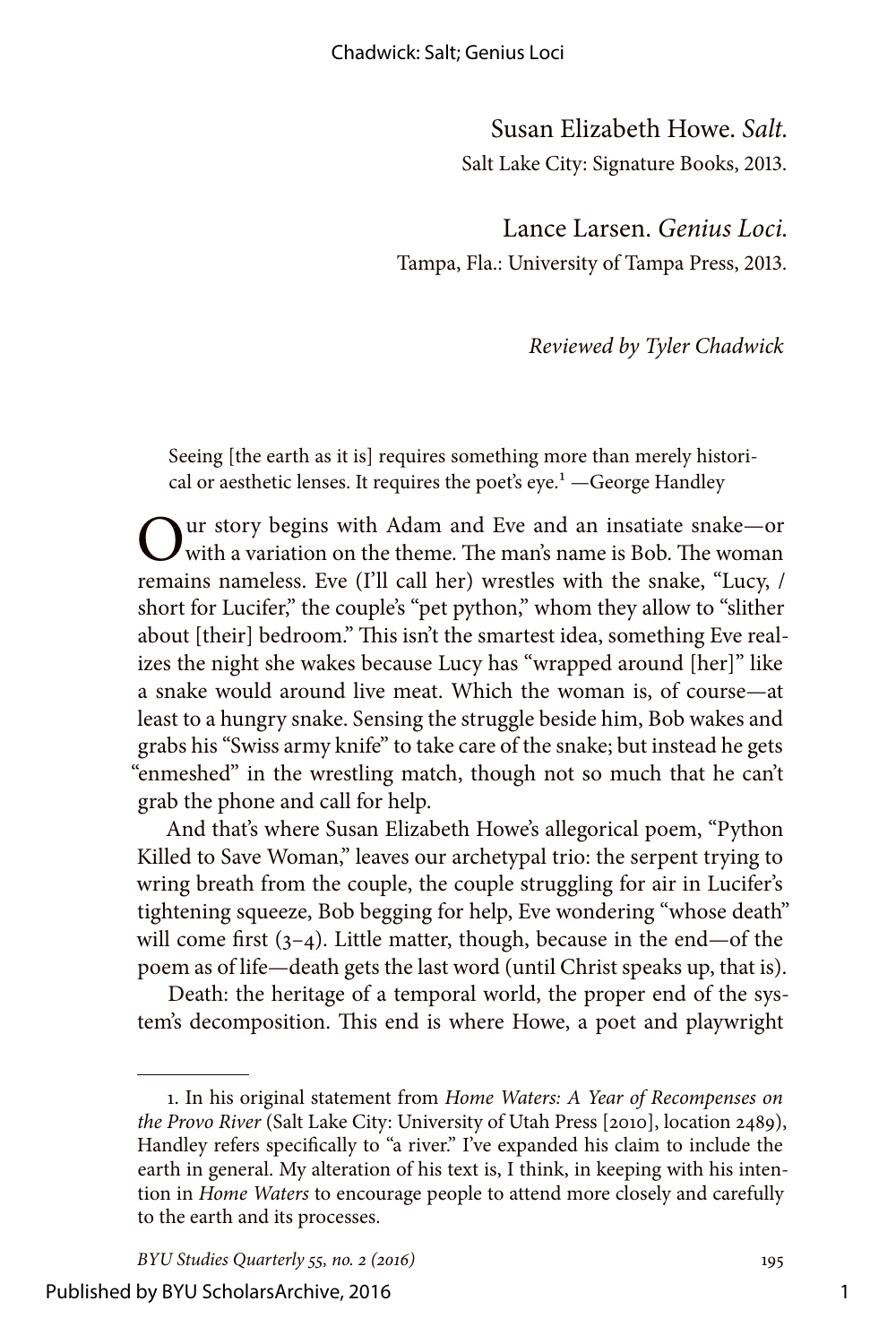Susan Elizabeth Howe. *Salt.* Salt Lake City: Signature Books, 2013.

Lance Larsen. *Genius Loci.* Tampa, Fla.: University of Tampa Press, 2013.

*Reviewed by Tyler Chadwick*

Seeing [the earth as it is] requires something more than merely historical or aesthetic lenses. It requires the poet's  $eye<sup>1</sup>$  -George Handley

 $\sum_{\text{with a variation on the theme. The man's name is Bob. The woman is a given value of the original data.}$ remains nameless. Eve (I'll call her) wrestles with the snake, "Lucy, / short for Lucifer," the couple's "pet python," whom they allow to "slither about [their] bedroom." This isn't the smartest idea, something Eve realizes the night she wakes because Lucy has "wrapped around [her]" like a snake would around live meat. Which the woman is, of course—at least to a hungry snake. Sensing the struggle beside him, Bob wakes and grabs his "Swiss army knife" to take care of the snake; but instead he gets "enmeshed" in the wrestling match, though not so much that he can't grab the phone and call for help.

And that's where Susan Elizabeth Howe's allegorical poem, "Python Killed to Save Woman," leaves our archetypal trio: the serpent trying to wring breath from the couple, the couple struggling for air in Lucifer's tightening squeeze, Bob begging for help, Eve wondering "whose death" will come first  $(3-4)$ . Little matter, though, because in the end—of the poem as of life—death gets the last word (until Christ speaks up, that is).

Death: the heritage of a temporal world, the proper end of the system's decomposition. This end is where Howe, a poet and playwright

<sup>1.</sup> In his original statement from *Home Waters: A Year of Recompenses on the Provo River* (Salt Lake City: University of Utah Press [2010], location 2489), Handley refers specifically to "a river." I've expanded his claim to include the earth in general. My alteration of his text is, I think, in keeping with his intention in *Home Waters* to encourage people to attend more closely and carefully to the earth and its processes.

*BYU Studies Quarterly 55, no. 2 (2016)* 195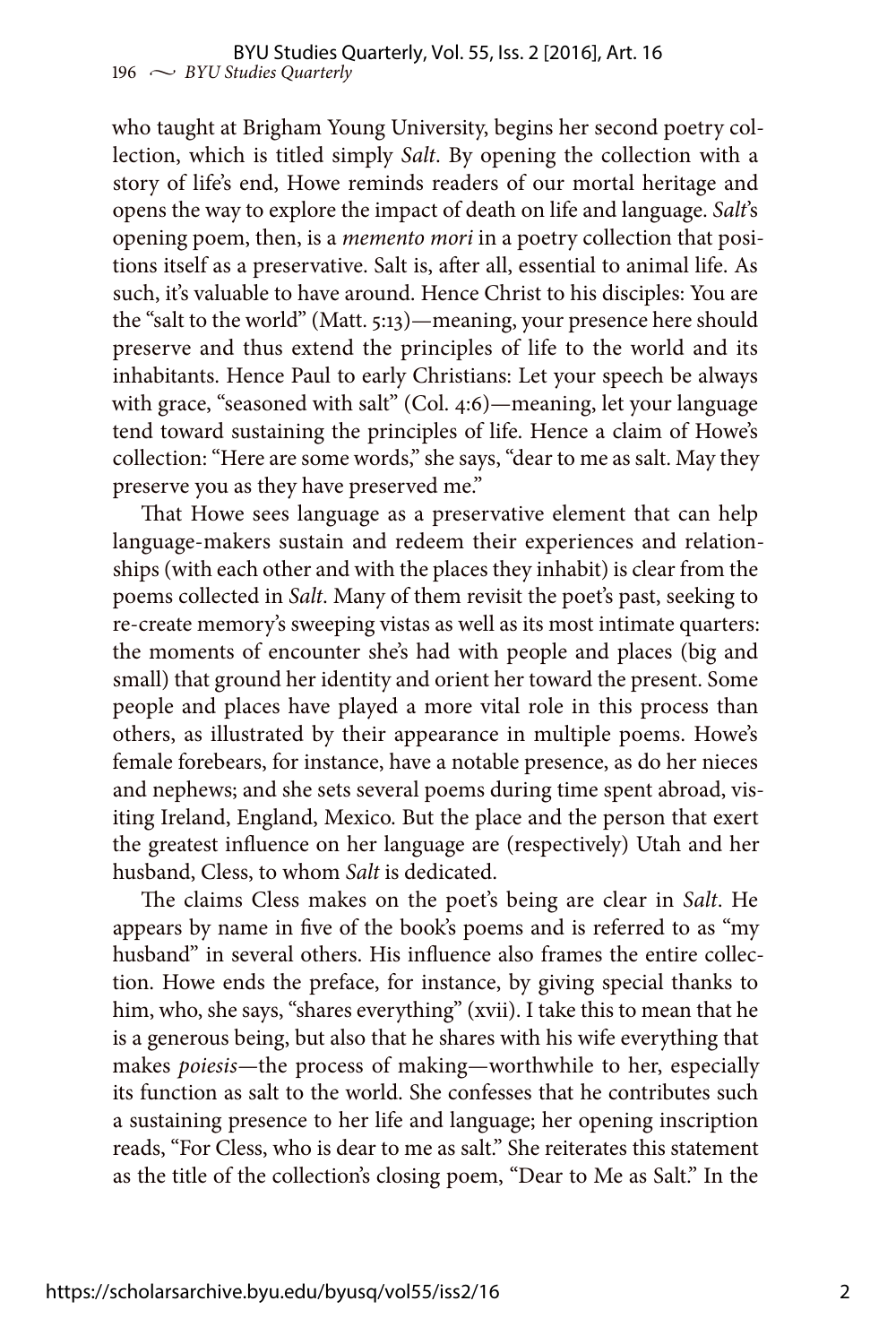who taught at Brigham Young University, begins her second poetry collection, which is titled simply *Salt*. By opening the collection with a story of life's end, Howe reminds readers of our mortal heritage and opens the way to explore the impact of death on life and language. *Salt*'s opening poem, then, is a *memento mori* in a poetry collection that positions itself as a preservative. Salt is, after all, essential to animal life. As such, it's valuable to have around. Hence Christ to his disciples: You are the "salt to the world" (Matt. 5:13)—meaning, your presence here should preserve and thus extend the principles of life to the world and its inhabitants. Hence Paul to early Christians: Let your speech be always with grace, "seasoned with salt" (Col. 4:6)—meaning, let your language tend toward sustaining the principles of life. Hence a claim of Howe's collection: "Here are some words," she says, "dear to me as salt. May they preserve you as they have preserved me."

That Howe sees language as a preservative element that can help language-makers sustain and redeem their experiences and relationships (with each other and with the places they inhabit) is clear from the poems collected in *Salt*. Many of them revisit the poet's past, seeking to re-create memory's sweeping vistas as well as its most intimate quarters: the moments of encounter she's had with people and places (big and small) that ground her identity and orient her toward the present. Some people and places have played a more vital role in this process than others, as illustrated by their appearance in multiple poems. Howe's female forebears, for instance, have a notable presence, as do her nieces and nephews; and she sets several poems during time spent abroad, visiting Ireland, England, Mexico. But the place and the person that exert the greatest influence on her language are (respectively) Utah and her husband, Cless, to whom *Salt* is dedicated.

The claims Cless makes on the poet's being are clear in *Salt*. He appears by name in five of the book's poems and is referred to as "my husband" in several others. His influence also frames the entire collection. Howe ends the preface, for instance, by giving special thanks to him, who, she says, "shares everything" (xvii). I take this to mean that he is a generous being, but also that he shares with his wife everything that makes *poiesis—*the process of making—worthwhile to her, especially its function as salt to the world. She confesses that he contributes such a sustaining presence to her life and language; her opening inscription reads, "For Cless, who is dear to me as salt." She reiterates this statement as the title of the collection's closing poem, "Dear to Me as Salt." In the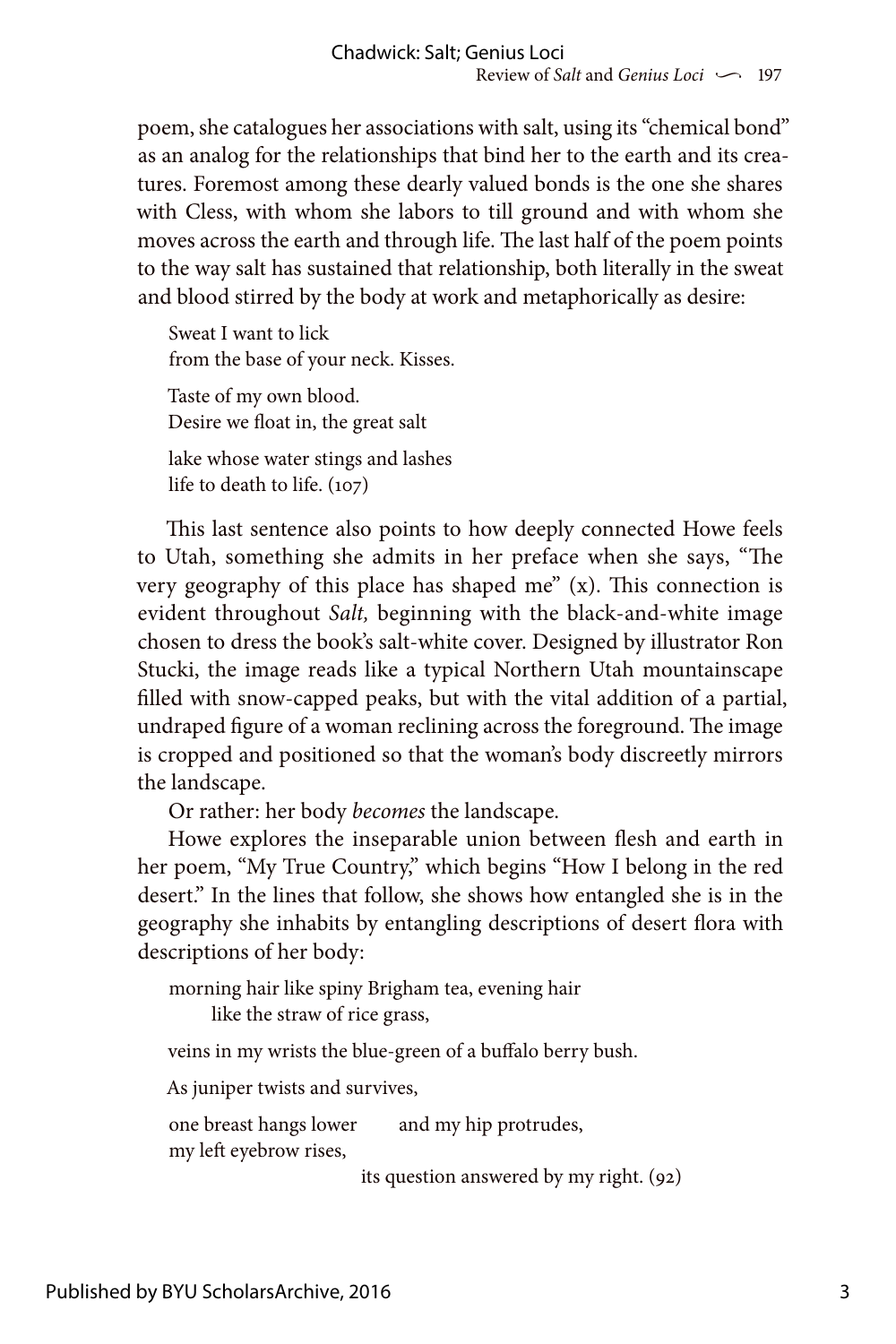poem, she catalogues her associations with salt, using its "chemical bond" as an analog for the relationships that bind her to the earth and its creatures. Foremost among these dearly valued bonds is the one she shares with Cless, with whom she labors to till ground and with whom she moves across the earth and through life. The last half of the poem points to the way salt has sustained that relationship, both literally in the sweat and blood stirred by the body at work and metaphorically as desire:

Sweat I want to lick from the base of your neck. Kisses. Taste of my own blood. Desire we float in, the great salt lake whose water stings and lashes life to death to life. (107)

This last sentence also points to how deeply connected Howe feels to Utah, something she admits in her preface when she says, "The very geography of this place has shaped me" (x). This connection is evident throughout *Salt,* beginning with the black-and-white image chosen to dress the book's salt-white cover. Designed by illustrator Ron Stucki, the image reads like a typical Northern Utah mountainscape filled with snow-capped peaks, but with the vital addition of a partial, undraped figure of a woman reclining across the foreground. The image is cropped and positioned so that the woman's body discreetly mirrors the landscape.

Or rather: her body *becomes* the landscape.

Howe explores the inseparable union between flesh and earth in her poem, "My True Country," which begins "How I belong in the red desert." In the lines that follow, she shows how entangled she is in the geography she inhabits by entangling descriptions of desert flora with descriptions of her body:

morning hair like spiny Brigham tea, evening hair

like the straw of rice grass,

veins in my wrists the blue-green of a buffalo berry bush.

As juniper twists and survives,

one breast hangs lower and my hip protrudes, my left eyebrow rises,

its question answered by my right. (92)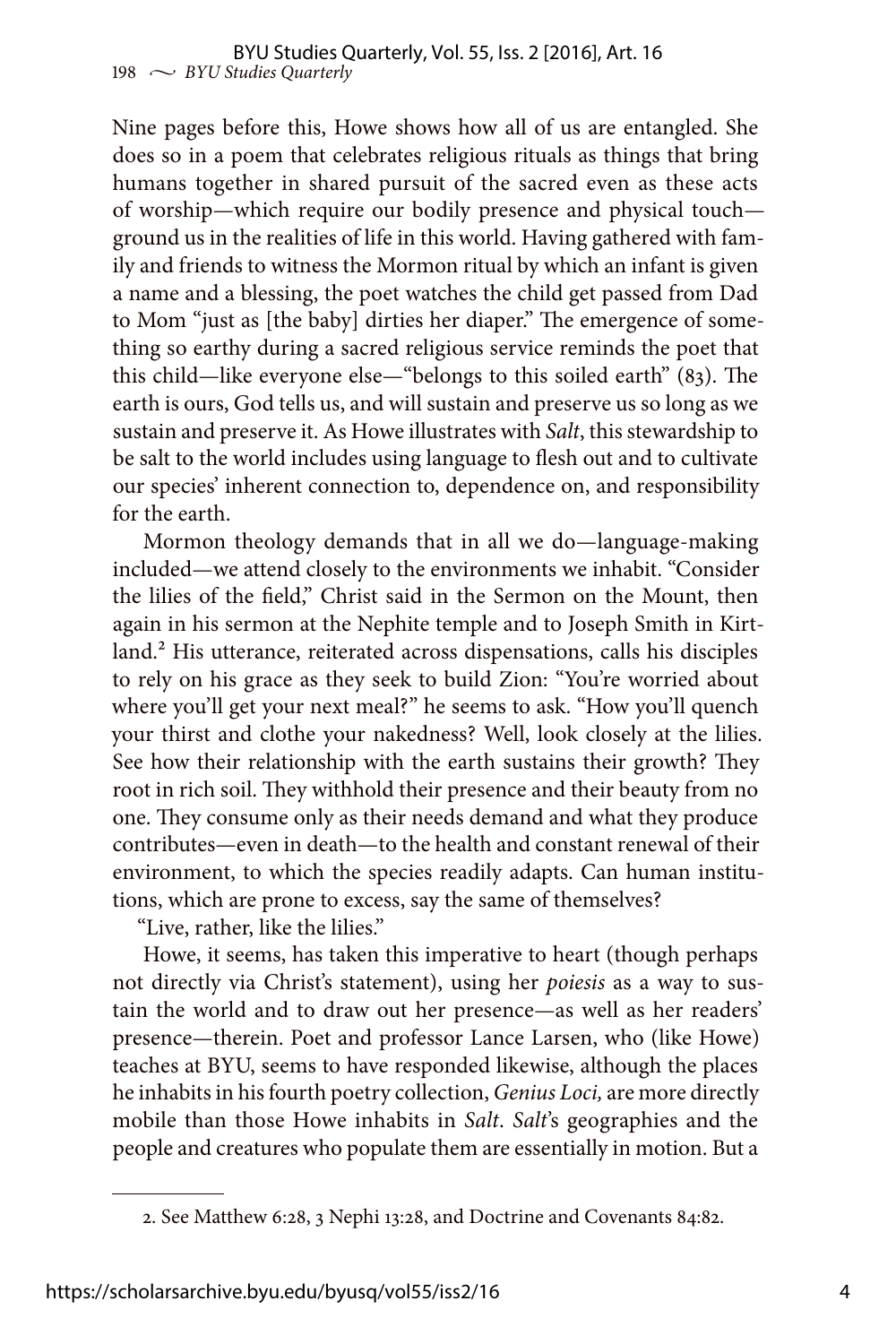Nine pages before this, Howe shows how all of us are entangled. She does so in a poem that celebrates religious rituals as things that bring humans together in shared pursuit of the sacred even as these acts of worship—which require our bodily presence and physical touch ground us in the realities of life in this world. Having gathered with family and friends to witness the Mormon ritual by which an infant is given a name and a blessing, the poet watches the child get passed from Dad to Mom "just as [the baby] dirties her diaper." The emergence of something so earthy during a sacred religious service reminds the poet that this child—like everyone else—"belongs to this soiled earth" (83). The earth is ours, God tells us, and will sustain and preserve us so long as we sustain and preserve it. As Howe illustrates with *Salt*, this stewardship to be salt to the world includes using language to flesh out and to cultivate our species' inherent connection to, dependence on, and responsibility for the earth.

Mormon theology demands that in all we do—language-making included—we attend closely to the environments we inhabit. "Consider the lilies of the field," Christ said in the Sermon on the Mount, then again in his sermon at the Nephite temple and to Joseph Smith in Kirtland.<sup>2</sup> His utterance, reiterated across dispensations, calls his disciples to rely on his grace as they seek to build Zion: "You're worried about where you'll get your next meal?" he seems to ask. "How you'll quench your thirst and clothe your nakedness? Well, look closely at the lilies. See how their relationship with the earth sustains their growth? They root in rich soil. They withhold their presence and their beauty from no one. They consume only as their needs demand and what they produce contributes—even in death—to the health and constant renewal of their environment, to which the species readily adapts. Can human institutions, which are prone to excess, say the same of themselves?

"Live, rather, like the lilies."

Howe, it seems, has taken this imperative to heart (though perhaps not directly via Christ's statement), using her *poiesis* as a way to sustain the world and to draw out her presence—as well as her readers' presence—therein. Poet and professor Lance Larsen, who (like Howe) teaches at BYU, seems to have responded likewise, although the places he inhabits in his fourth poetry collection, *Genius Loci,* are more directly mobile than those Howe inhabits in *Salt*. *Salt*'s geographies and the people and creatures who populate them are essentially in motion. But a

<sup>2.</sup> See Matthew 6:28, 3 Nephi 13:28, and Doctrine and Covenants 84:82.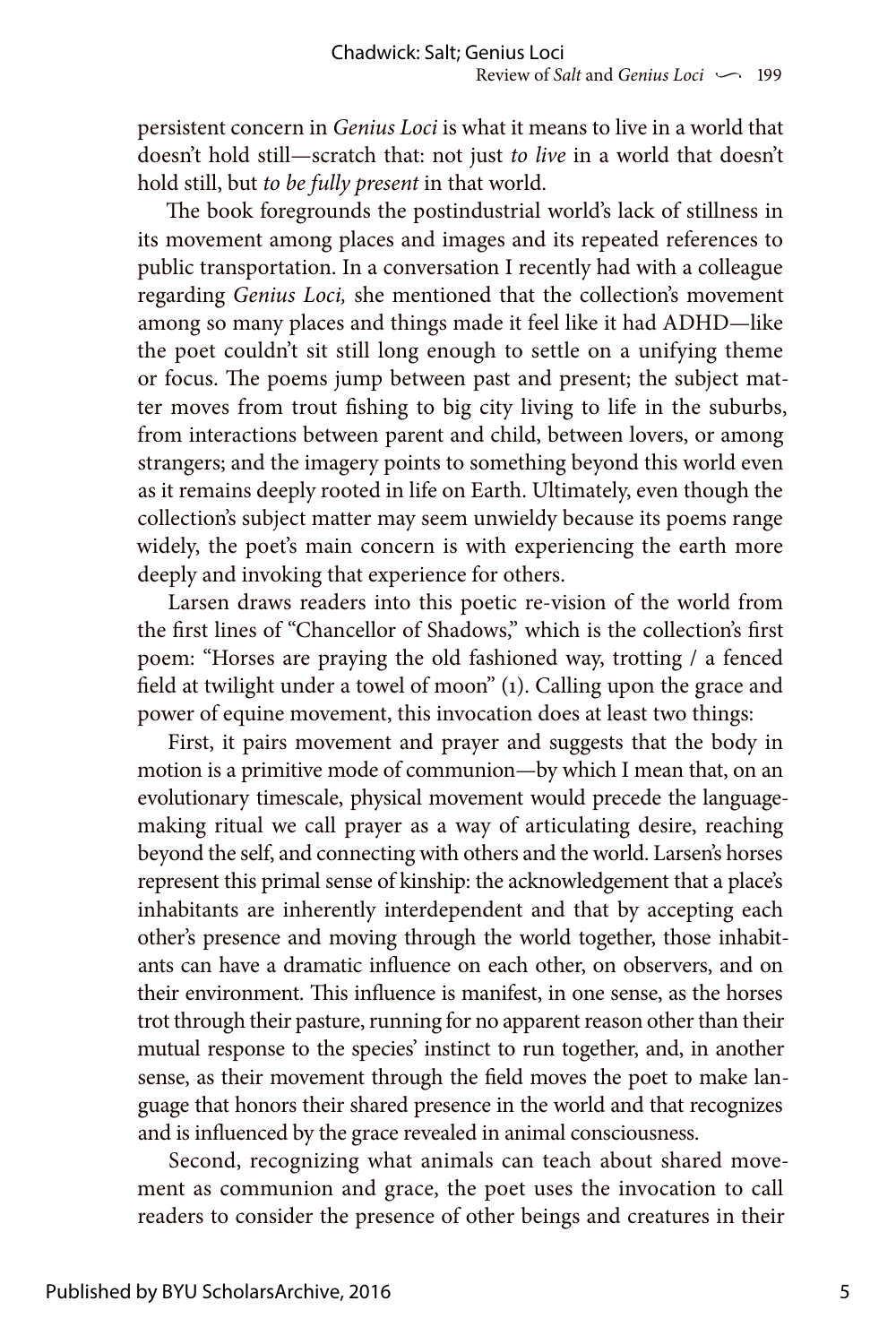persistent concern in *Genius Loci* is what it means to live in a world that doesn't hold still—scratch that: not just *to live* in a world that doesn't hold still, but *to be fully present* in that world.

The book foregrounds the postindustrial world's lack of stillness in its movement among places and images and its repeated references to public transportation. In a conversation I recently had with a colleague regarding *Genius Loci,* she mentioned that the collection's movement among so many places and things made it feel like it had ADHD—like the poet couldn't sit still long enough to settle on a unifying theme or focus. The poems jump between past and present; the subject matter moves from trout fishing to big city living to life in the suburbs, from interactions between parent and child, between lovers, or among strangers; and the imagery points to something beyond this world even as it remains deeply rooted in life on Earth. Ultimately, even though the collection's subject matter may seem unwieldy because its poems range widely, the poet's main concern is with experiencing the earth more deeply and invoking that experience for others.

Larsen draws readers into this poetic re-vision of the world from the first lines of "Chancellor of Shadows," which is the collection's first poem: "Horses are praying the old fashioned way, trotting / a fenced field at twilight under a towel of moon" (1). Calling upon the grace and power of equine movement, this invocation does at least two things:

First, it pairs movement and prayer and suggests that the body in motion is a primitive mode of communion—by which I mean that, on an evolutionary timescale, physical movement would precede the languagemaking ritual we call prayer as a way of articulating desire, reaching beyond the self, and connecting with others and the world. Larsen's horses represent this primal sense of kinship: the acknowledgement that a place's inhabitants are inherently interdependent and that by accepting each other's presence and moving through the world together, those inhabitants can have a dramatic influence on each other, on observers, and on their environment. This influence is manifest, in one sense, as the horses trot through their pasture, running for no apparent reason other than their mutual response to the species' instinct to run together, and, in another sense, as their movement through the field moves the poet to make language that honors their shared presence in the world and that recognizes and is influenced by the grace revealed in animal consciousness.

Second, recognizing what animals can teach about shared movement as communion and grace, the poet uses the invocation to call readers to consider the presence of other beings and creatures in their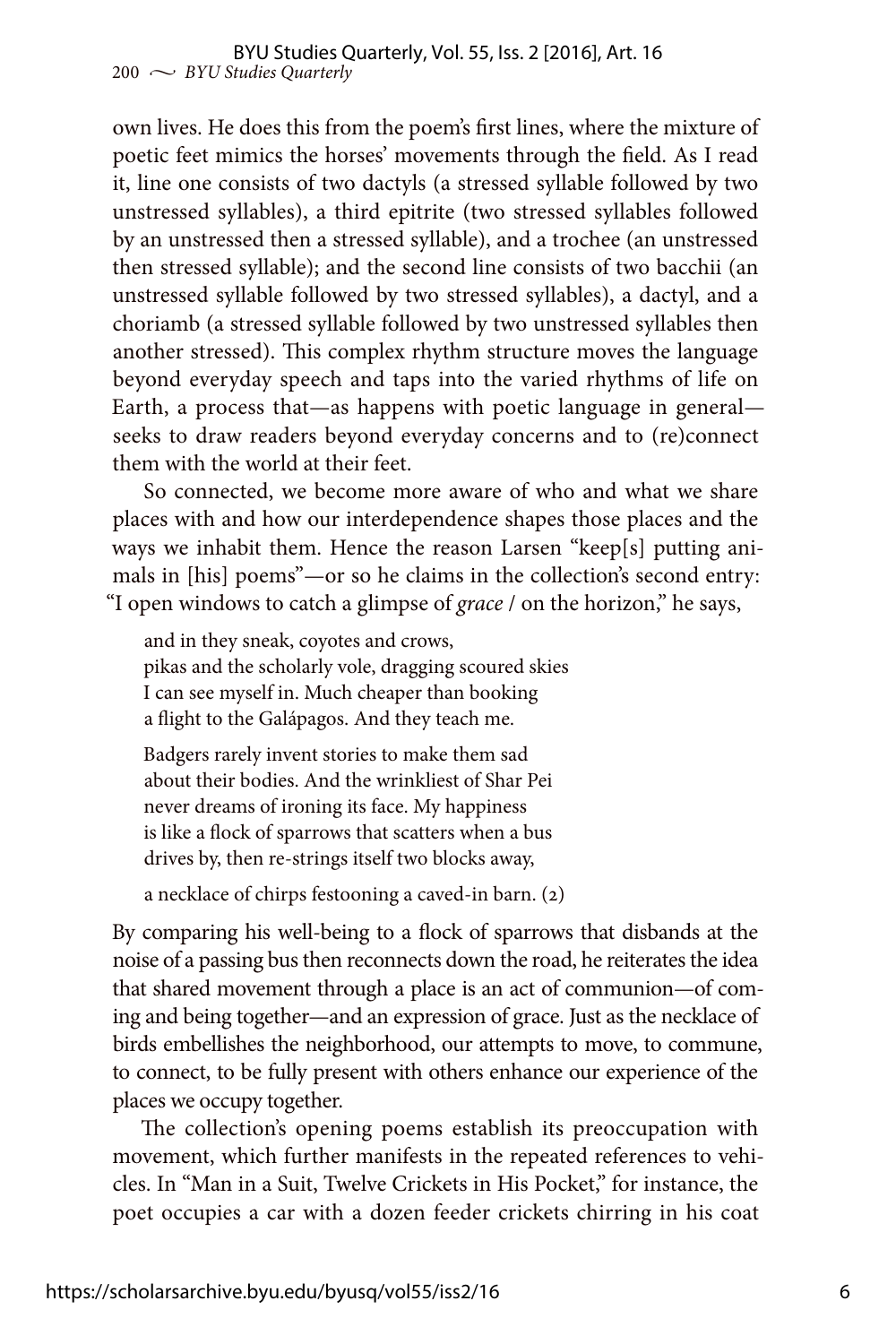own lives. He does this from the poem's first lines, where the mixture of poetic feet mimics the horses' movements through the field. As I read it, line one consists of two dactyls (a stressed syllable followed by two unstressed syllables), a third epitrite (two stressed syllables followed by an unstressed then a stressed syllable), and a trochee (an unstressed then stressed syllable); and the second line consists of two bacchii (an unstressed syllable followed by two stressed syllables), a dactyl, and a choriamb (a stressed syllable followed by two unstressed syllables then another stressed). This complex rhythm structure moves the language beyond everyday speech and taps into the varied rhythms of life on Earth, a process that—as happens with poetic language in general seeks to draw readers beyond everyday concerns and to (re)connect them with the world at their feet.

So connected, we become more aware of who and what we share places with and how our interdependence shapes those places and the ways we inhabit them. Hence the reason Larsen "keep[s] putting animals in [his] poems"—or so he claims in the collection's second entry: "I open windows to catch a glimpse of *grace* / on the horizon," he says,

and in they sneak, coyotes and crows, pikas and the scholarly vole, dragging scoured skies I can see myself in. Much cheaper than booking a flight to the Galápagos. And they teach me.

Badgers rarely invent stories to make them sad about their bodies. And the wrinkliest of Shar Pei never dreams of ironing its face. My happiness is like a flock of sparrows that scatters when a bus drives by, then re-strings itself two blocks away,

a necklace of chirps festooning a caved-in barn. (2)

By comparing his well-being to a flock of sparrows that disbands at the noise of a passing bus then reconnects down the road, he reiterates the idea that shared movement through a place is an act of communion—of coming and being together—and an expression of grace. Just as the necklace of birds embellishes the neighborhood, our attempts to move, to commune, to connect, to be fully present with others enhance our experience of the places we occupy together.

The collection's opening poems establish its preoccupation with movement, which further manifests in the repeated references to vehicles. In "Man in a Suit, Twelve Crickets in His Pocket," for instance, the poet occupies a car with a dozen feeder crickets chirring in his coat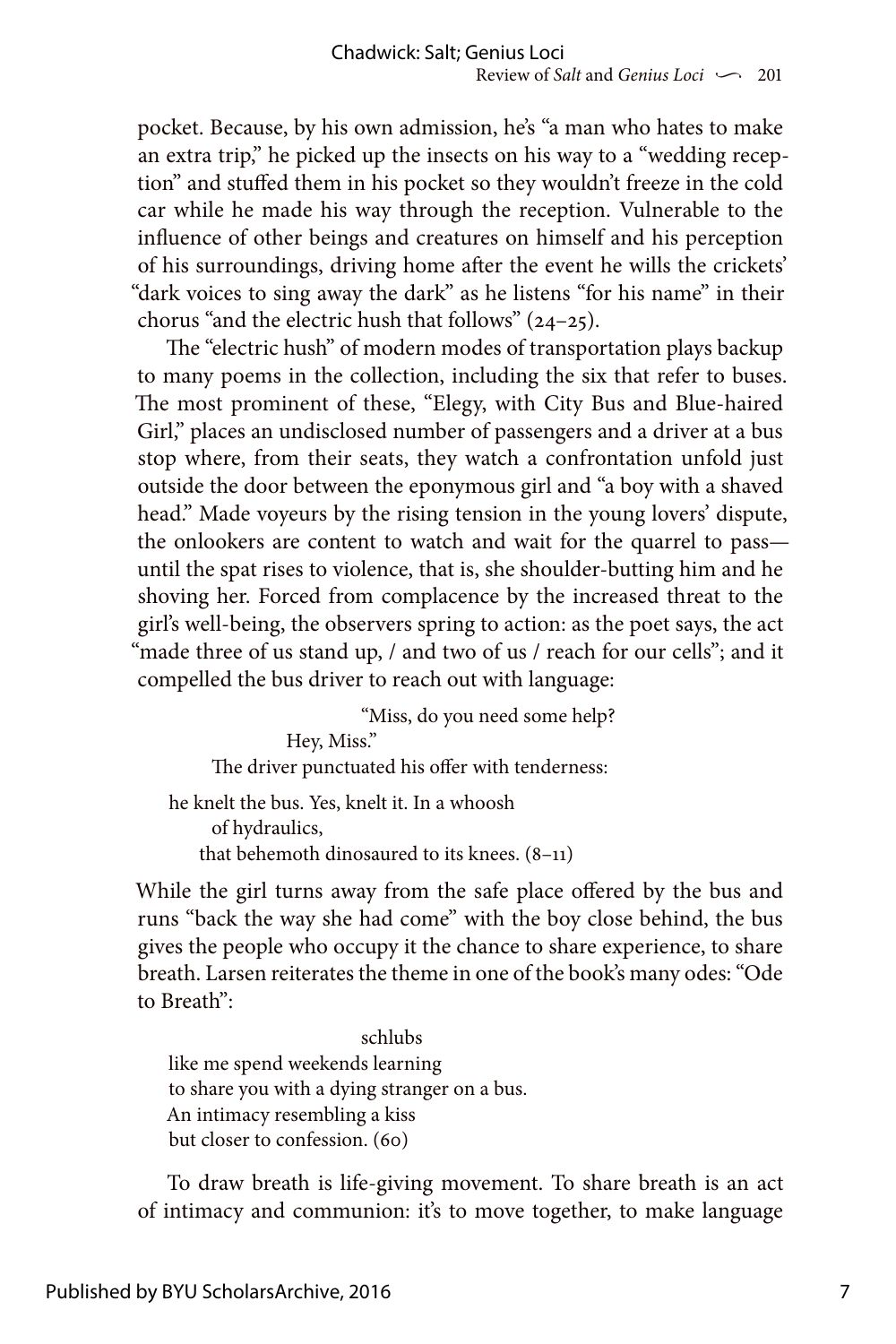pocket. Because, by his own admission, he's "a man who hates to make an extra trip," he picked up the insects on his way to a "wedding reception" and stuffed them in his pocket so they wouldn't freeze in the cold car while he made his way through the reception. Vulnerable to the influence of other beings and creatures on himself and his perception of his surroundings, driving home after the event he wills the crickets' "dark voices to sing away the dark" as he listens "for his name" in their chorus "and the electric hush that follows" (24–25).

The "electric hush" of modern modes of transportation plays backup to many poems in the collection, including the six that refer to buses. The most prominent of these, "Elegy, with City Bus and Blue-haired Girl," places an undisclosed number of passengers and a driver at a bus stop where, from their seats, they watch a confrontation unfold just outside the door between the eponymous girl and "a boy with a shaved head." Made voyeurs by the rising tension in the young lovers' dispute, the onlookers are content to watch and wait for the quarrel to pass until the spat rises to violence, that is, she shoulder-butting him and he shoving her. Forced from complacence by the increased threat to the girl's well-being, the observers spring to action: as the poet says, the act "made three of us stand up, / and two of us / reach for our cells"; and it compelled the bus driver to reach out with language:

 "Miss, do you need some help? Hey, Miss." The driver punctuated his offer with tenderness: he knelt the bus. Yes, knelt it. In a whoosh of hydraulics, that behemoth dinosaured to its knees. (8–11)

While the girl turns away from the safe place offered by the bus and runs "back the way she had come" with the boy close behind, the bus gives the people who occupy it the chance to share experience, to share breath. Larsen reiterates the theme in one of the book's many odes: "Ode to Breath":

 schlubs like me spend weekends learning to share you with a dying stranger on a bus. An intimacy resembling a kiss but closer to confession. (60)

To draw breath is life-giving movement. To share breath is an act of intimacy and communion: it's to move together, to make language